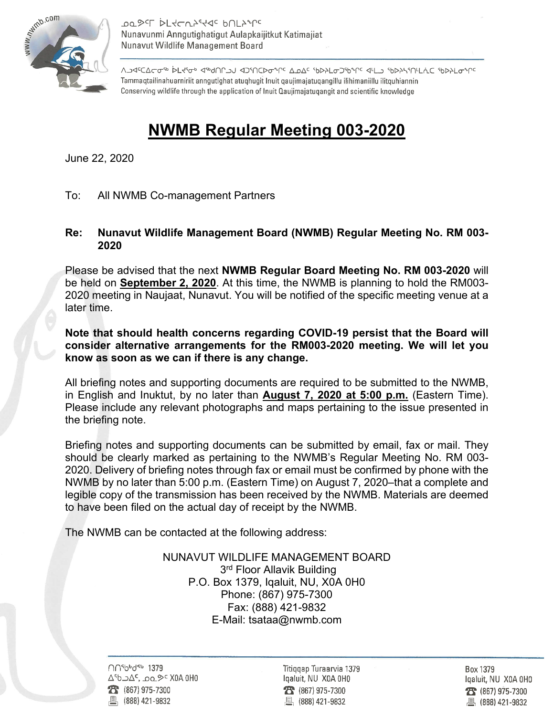

**POSEL DEACUSERE PULSALE** Nunavunmi Anngutighatigut Aulapkaijitkut Katimajiat Nunavut Wildlife Management Board

λ<mark>⊃Ϥ</mark><sup>ϲ</sup>ΔϹΔϹϭʹ<sup>ϧ</sup>ϷϹϞʹϭ·ͽͺϤʹϧϥͶϹϽͿͺϤϽʹͶϹϷϭʹϞϹͼͺΔϼΔ<sup>ϲ</sup>ͺʹϧϷϡϹϭϽʹϧϒϹͼͺϤϞϽͻͺʹϧϷϡϞϒͶϞʹϹͺʹϧϷϡͰϭͼϓ Tammaqtailinahuarniriit anngutighat atuqhugit Inuit qaujimajatuqangillu ilihimaniillu ilitquhiannin Conserving wildlife through the application of Inuit Qaujimajatugangit and scientific knowledge

## **NWMB Regular Meeting 003-2020**

June 22, 2020

To: All NWMB Co-management Partners

## **Re: Nunavut Wildlife Management Board (NWMB) Regular Meeting No. RM 003- 2020**

Please be advised that the next **NWMB Regular Board Meeting No. RM 003-2020** will be held on **September 2, 2020**. At this time, the NWMB is planning to hold the RM003- 2020 meeting in Naujaat, Nunavut. You will be notified of the specific meeting venue at a later time.

**Note that should health concerns regarding COVID-19 persist that the Board will consider alternative arrangements for the RM003-2020 meeting. We will let you know as soon as we can if there is any change.**

All briefing notes and supporting documents are required to be submitted to the NWMB, in English and Inuktut, by no later than **August 7, 2020 at 5:00 p.m.** (Eastern Time). Please include any relevant photographs and maps pertaining to the issue presented in the briefing note.

Briefing notes and supporting documents can be submitted by email, fax or mail. They should be clearly marked as pertaining to the NWMB's Regular Meeting No. RM 003- 2020. Delivery of briefing notes through fax or email must be confirmed by phone with the NWMB by no later than 5:00 p.m. (Eastern Time) on August 7, 2020–that a complete and legible copy of the transmission has been received by the NWMB. Materials are deemed to have been filed on the actual day of receipt by the NWMB.

The NWMB can be contacted at the following address:

NUNAVUT WILDLIFE MANAGEMENT BOARD 3<sup>rd</sup> Floor Allavik Building P.O. Box 1379, Iqaluit, NU, X0A 0H0 Phone: (867) 975-7300 Fax: (888) 421-9832 E-Mail: tsataa@nwmb.com

**NO**Sbbd<sup>eb</sup> 1379 ∆<sup>6</sup>b אבס , בסם, A<sup>6</sup>b בא (867) 975-7300 (888) 421-9832

Titiggap Turaarvia 1379 Igaluit, NU X0A 0H0  $23 (867) 975 - 7300$ 凰 (888) 421-9832

Box 1379 Igaluit, NU X0A 0H0 28 (867) 975-7300 ■ (888) 421-9832